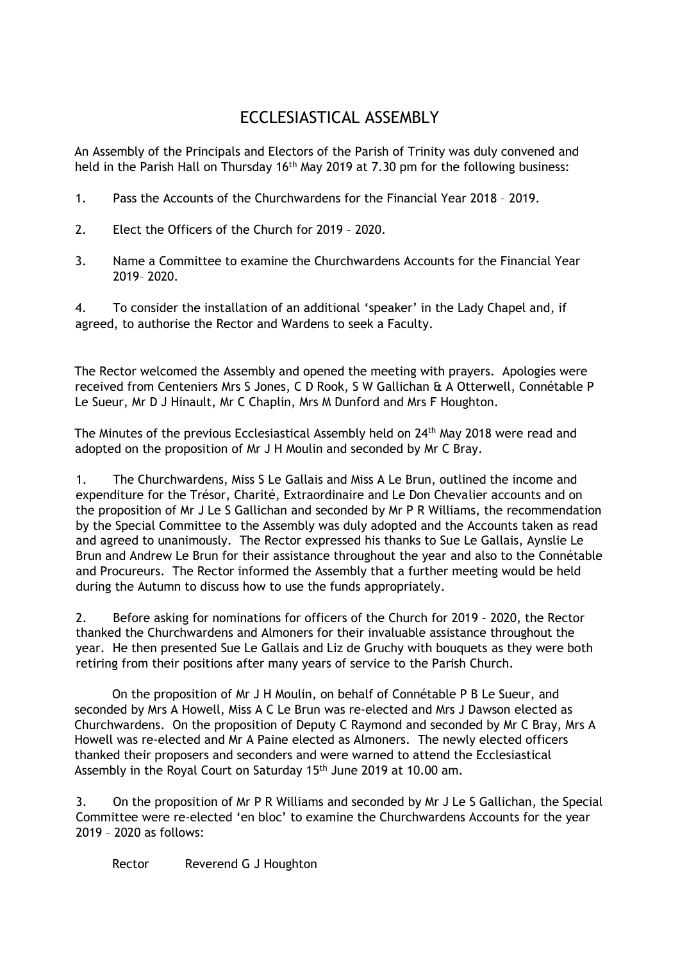## ECCLESIASTICAL ASSEMBLY

An Assembly of the Principals and Electors of the Parish of Trinity was duly convened and held in the Parish Hall on Thursday 16<sup>th</sup> May 2019 at 7.30 pm for the following business:

- 1. Pass the Accounts of the Churchwardens for the Financial Year 2018 2019.
- 2. Elect the Officers of the Church for 2019 2020.
- 3. Name a Committee to examine the Churchwardens Accounts for the Financial Year 2019– 2020.

4. To consider the installation of an additional 'speaker' in the Lady Chapel and, if agreed, to authorise the Rector and Wardens to seek a Faculty.

The Rector welcomed the Assembly and opened the meeting with prayers. Apologies were received from Centeniers Mrs S Jones, C D Rook, S W Gallichan & A Otterwell, Connétable P Le Sueur, Mr D J Hinault, Mr C Chaplin, Mrs M Dunford and Mrs F Houghton.

The Minutes of the previous Ecclesiastical Assembly held on 24<sup>th</sup> May 2018 were read and adopted on the proposition of Mr J H Moulin and seconded by Mr C Bray.

1. The Churchwardens, Miss S Le Gallais and Miss A Le Brun, outlined the income and expenditure for the Trésor, Charité, Extraordinaire and Le Don Chevalier accounts and on the proposition of Mr J Le S Gallichan and seconded by Mr P R Williams, the recommendation by the Special Committee to the Assembly was duly adopted and the Accounts taken as read and agreed to unanimously. The Rector expressed his thanks to Sue Le Gallais, Aynslie Le Brun and Andrew Le Brun for their assistance throughout the year and also to the Connétable and Procureurs. The Rector informed the Assembly that a further meeting would be held during the Autumn to discuss how to use the funds appropriately.

2. Before asking for nominations for officers of the Church for 2019 – 2020, the Rector thanked the Churchwardens and Almoners for their invaluable assistance throughout the year. He then presented Sue Le Gallais and Liz de Gruchy with bouquets as they were both retiring from their positions after many years of service to the Parish Church.

On the proposition of Mr J H Moulin, on behalf of Connétable P B Le Sueur, and seconded by Mrs A Howell, Miss A C Le Brun was re-elected and Mrs J Dawson elected as Churchwardens. On the proposition of Deputy C Raymond and seconded by Mr C Bray, Mrs A Howell was re-elected and Mr A Paine elected as Almoners. The newly elected officers thanked their proposers and seconders and were warned to attend the Ecclesiastical Assembly in the Royal Court on Saturday 15<sup>th</sup> June 2019 at 10.00 am.

3. On the proposition of Mr P R Williams and seconded by Mr J Le S Gallichan, the Special Committee were re-elected 'en bloc' to examine the Churchwardens Accounts for the year 2019 – 2020 as follows:

Rector Reverend G J Houghton